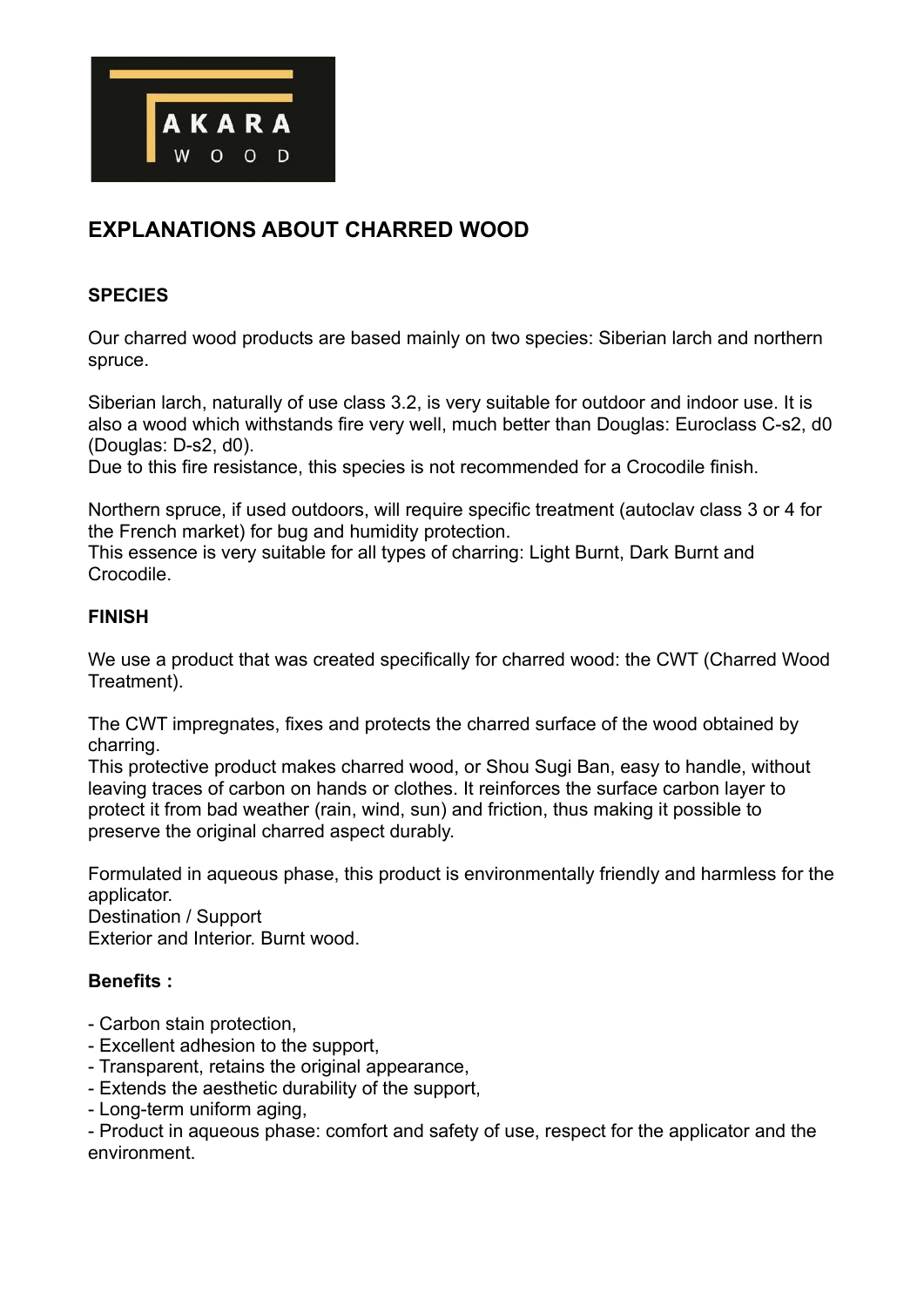

# **EXPLANATIONS ABOUT CHARRED WOOD**

#### **SPECIES**

Our charred wood products are based mainly on two species: Siberian larch and northern spruce.

Siberian larch, naturally of use class 3.2, is very suitable for outdoor and indoor use. It is also a wood which withstands fire very well, much better than Douglas: Euroclass C-s2, d0 (Douglas: D-s2, d0).

Due to this fire resistance, this species is not recommended for a Crocodile finish.

Northern spruce, if used outdoors, will require specific treatment (autoclav class 3 or 4 for the French market) for bug and humidity protection.

This essence is very suitable for all types of charring: Light Burnt, Dark Burnt and Crocodile.

## **FINISH**

We use a product that was created specifically for charred wood: the CWT (Charred Wood Treatment).

The CWT impregnates, fixes and protects the charred surface of the wood obtained by charring.

This protective product makes charred wood, or Shou Sugi Ban, easy to handle, without leaving traces of carbon on hands or clothes. It reinforces the surface carbon layer to protect it from bad weather (rain, wind, sun) and friction, thus making it possible to preserve the original charred aspect durably.

Formulated in aqueous phase, this product is environmentally friendly and harmless for the applicator.

Destination / Support Exterior and Interior. Burnt wood.

## **Benefits :**

- Carbon stain protection,
- Excellent adhesion to the support,
- Transparent, retains the original appearance,
- Extends the aesthetic durability of the support,
- Long-term uniform aging,

- Product in aqueous phase: comfort and safety of use, respect for the applicator and the environment.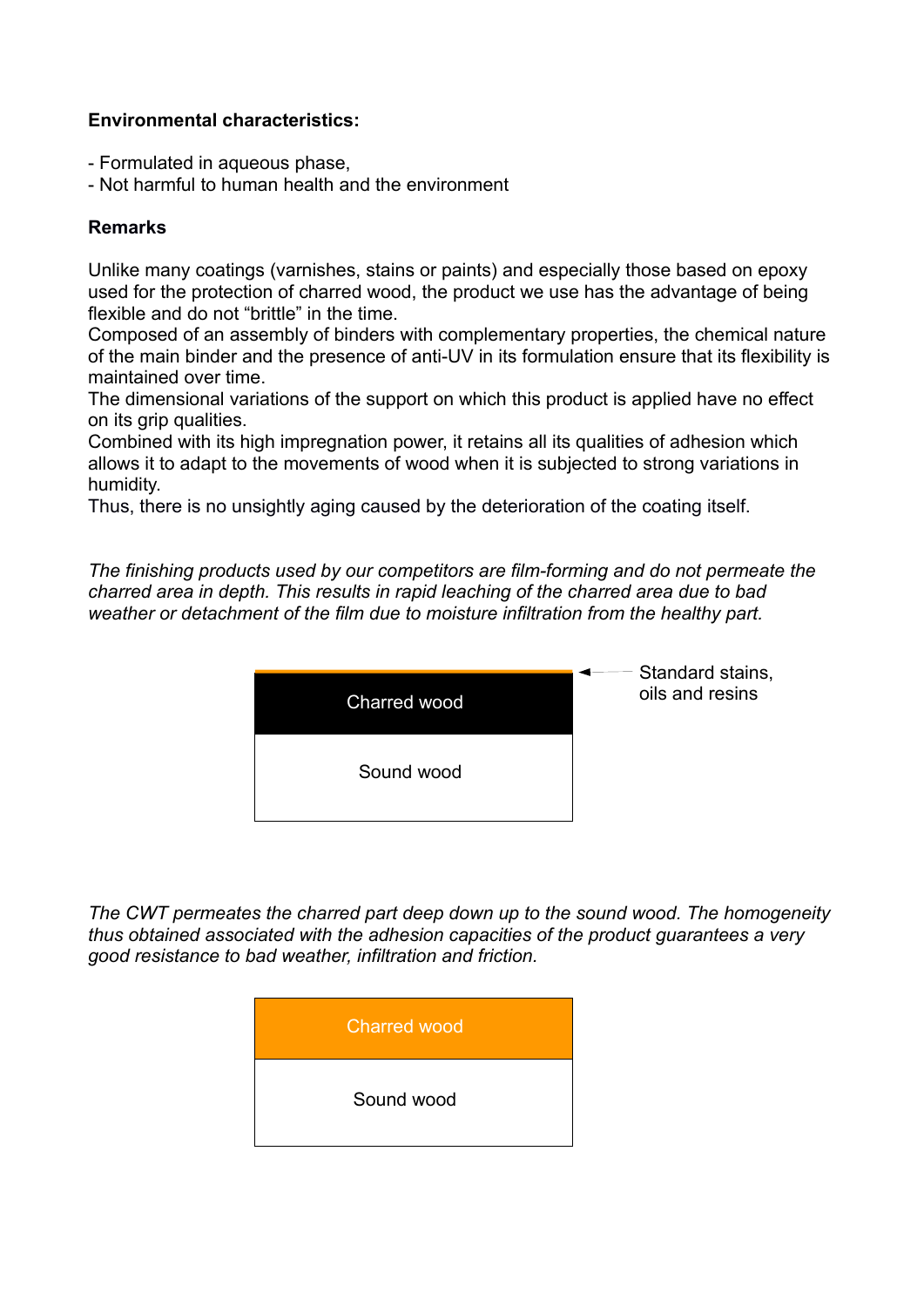## **Environmental characteristics:**

- Formulated in aqueous phase,
- Not harmful to human health and the environment

#### **Remarks**

Unlike many coatings (varnishes, stains or paints) and especially those based on epoxy used for the protection of charred wood, the product we use has the advantage of being flexible and do not "brittle" in the time.

Composed of an assembly of binders with complementary properties, the chemical nature of the main binder and the presence of anti-UV in its formulation ensure that its flexibility is maintained over time.

The dimensional variations of the support on which this product is applied have no effect on its grip qualities.

Combined with its high impregnation power, it retains all its qualities of adhesion which allows it to adapt to the movements of wood when it is subjected to strong variations in humidity.

Thus, there is no unsightly aging caused by the deterioration of the coating itself.

*The finishing products used by our competitors are film-forming and do not permeate the charred area in depth. This results in rapid leaching of the charred area due to bad weather or detachment of the film due to moisture infiltration from the healthy part.*



*The CWT permeates the charred part deep down up to the sound wood. The homogeneity thus obtained associated with the adhesion capacities of the product guarantees a very good resistance to bad weather, infiltration and friction.*